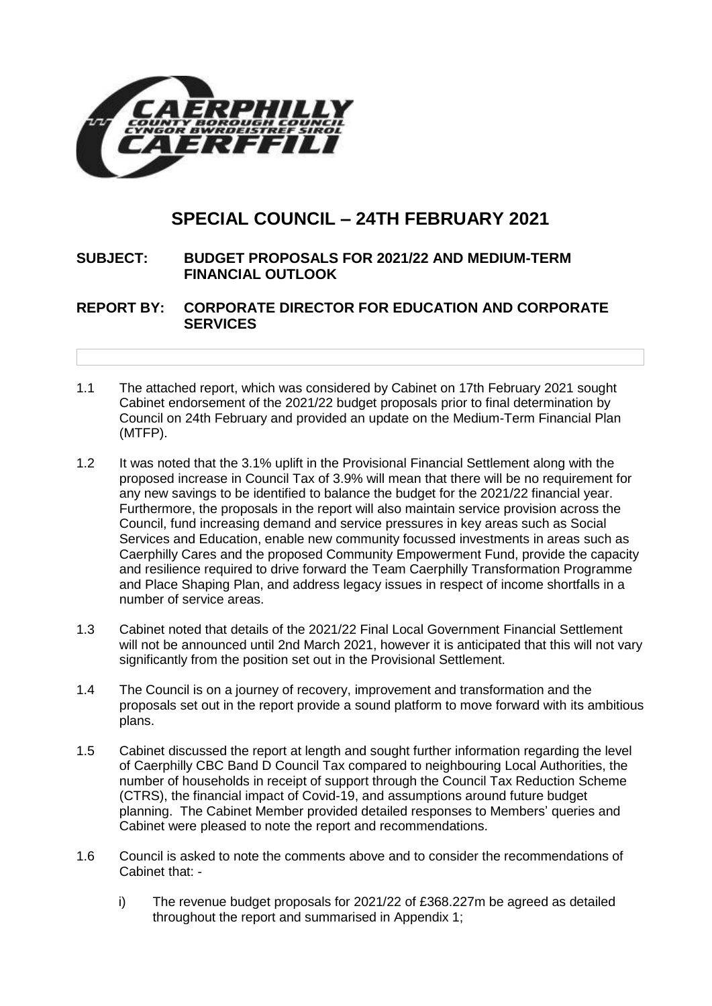

## **SPECIAL COUNCIL – 24TH FEBRUARY 2021**

## **SUBJECT: BUDGET PROPOSALS FOR 2021/22 AND MEDIUM-TERM FINANCIAL OUTLOOK**

## **REPORT BY: CORPORATE DIRECTOR FOR EDUCATION AND CORPORATE SERVICES**

- 1.1 The attached report, which was considered by Cabinet on 17th February 2021 sought Cabinet endorsement of the 2021/22 budget proposals prior to final determination by Council on 24th February and provided an update on the Medium-Term Financial Plan (MTFP).
- 1.2 It was noted that the 3.1% uplift in the Provisional Financial Settlement along with the proposed increase in Council Tax of 3.9% will mean that there will be no requirement for any new savings to be identified to balance the budget for the 2021/22 financial year. Furthermore, the proposals in the report will also maintain service provision across the Council, fund increasing demand and service pressures in key areas such as Social Services and Education, enable new community focussed investments in areas such as Caerphilly Cares and the proposed Community Empowerment Fund, provide the capacity and resilience required to drive forward the Team Caerphilly Transformation Programme and Place Shaping Plan, and address legacy issues in respect of income shortfalls in a number of service areas.
- 1.3 Cabinet noted that details of the 2021/22 Final Local Government Financial Settlement will not be announced until 2nd March 2021, however it is anticipated that this will not vary significantly from the position set out in the Provisional Settlement.
- 1.4 The Council is on a journey of recovery, improvement and transformation and the proposals set out in the report provide a sound platform to move forward with its ambitious plans.
- 1.5 Cabinet discussed the report at length and sought further information regarding the level of Caerphilly CBC Band D Council Tax compared to neighbouring Local Authorities, the number of households in receipt of support through the Council Tax Reduction Scheme (CTRS), the financial impact of Covid-19, and assumptions around future budget planning. The Cabinet Member provided detailed responses to Members' queries and Cabinet were pleased to note the report and recommendations.
- 1.6 Council is asked to note the comments above and to consider the recommendations of Cabinet that:
	- i) The revenue budget proposals for 2021/22 of £368.227m be agreed as detailed throughout the report and summarised in Appendix 1;